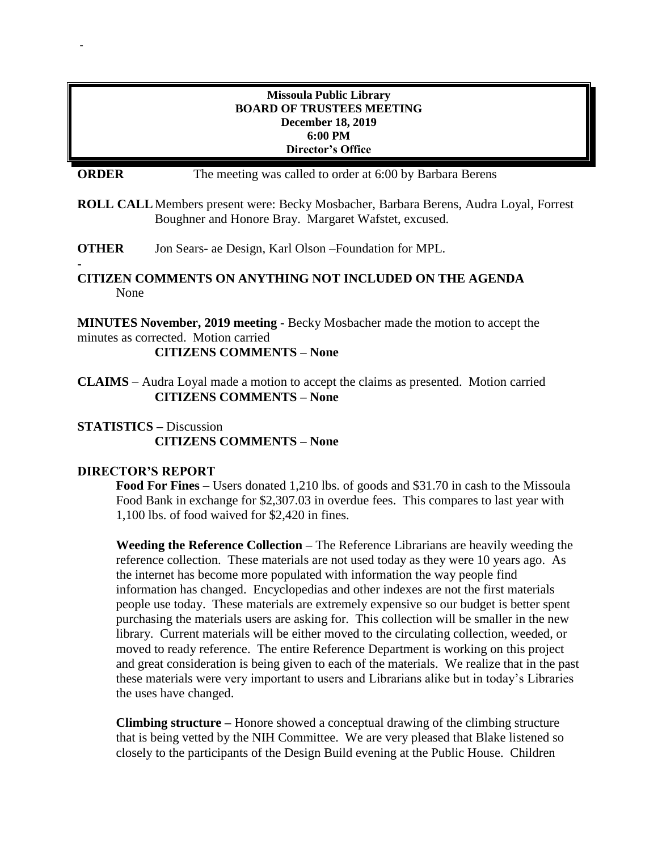#### **Missoula Public Library BOARD OF TRUSTEES MEETING December 18, 2019 6:00 PM Director's Office**

**ORDER** The meeting was called to order at 6:00 by Barbara Berens

**ROLL CALL**Members present were: Becky Mosbacher, Barbara Berens, Audra Loyal, Forrest Boughner and Honore Bray. Margaret Wafstet, excused.

**OTHER** Jon Sears- ae Design, Karl Olson –Foundation for MPL.

#### **CITIZEN COMMENTS ON ANYTHING NOT INCLUDED ON THE AGENDA** None

**MINUTES November, 2019 meeting -** Becky Mosbacher made the motion to accept the minutes as corrected. Motion carried

**CITIZENS COMMENTS – None**

**CLAIMS** – Audra Loyal made a motion to accept the claims as presented. Motion carried **CITIZENS COMMENTS – None**

**STATISTICS –** Discussion **CITIZENS COMMENTS – None**

#### **DIRECTOR'S REPORT**

-

**-**

**Food For Fines** – Users donated 1,210 lbs. of goods and \$31.70 in cash to the Missoula Food Bank in exchange for \$2,307.03 in overdue fees. This compares to last year with 1,100 lbs. of food waived for \$2,420 in fines.

**Weeding the Reference Collection –** The Reference Librarians are heavily weeding the reference collection. These materials are not used today as they were 10 years ago. As the internet has become more populated with information the way people find information has changed. Encyclopedias and other indexes are not the first materials people use today. These materials are extremely expensive so our budget is better spent purchasing the materials users are asking for. This collection will be smaller in the new library. Current materials will be either moved to the circulating collection, weeded, or moved to ready reference. The entire Reference Department is working on this project and great consideration is being given to each of the materials. We realize that in the past these materials were very important to users and Librarians alike but in today's Libraries the uses have changed.

**Climbing structure –** Honore showed a conceptual drawing of the climbing structure that is being vetted by the NIH Committee. We are very pleased that Blake listened so closely to the participants of the Design Build evening at the Public House. Children